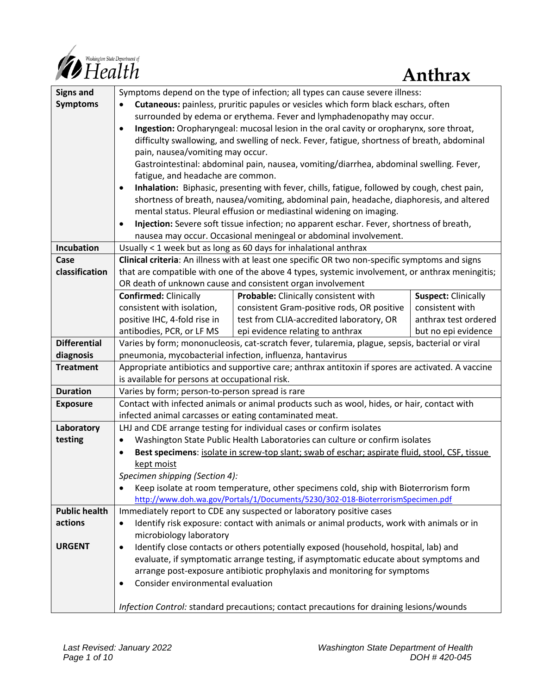

| <b>Signs and</b>     | Symptoms depend on the type of infection; all types can cause severe illness:                                                                                    |                            |  |
|----------------------|------------------------------------------------------------------------------------------------------------------------------------------------------------------|----------------------------|--|
| <b>Symptoms</b>      | Cutaneous: painless, pruritic papules or vesicles which form black eschars, often<br>$\bullet$                                                                   |                            |  |
|                      | surrounded by edema or erythema. Fever and lymphadenopathy may occur.                                                                                            |                            |  |
|                      | Ingestion: Oropharyngeal: mucosal lesion in the oral cavity or oropharynx, sore throat,<br>$\bullet$                                                             |                            |  |
|                      | difficulty swallowing, and swelling of neck. Fever, fatigue, shortness of breath, abdominal                                                                      |                            |  |
|                      | pain, nausea/vomiting may occur.                                                                                                                                 |                            |  |
|                      | Gastrointestinal: abdominal pain, nausea, vomiting/diarrhea, abdominal swelling. Fever,                                                                          |                            |  |
|                      | fatigue, and headache are common.                                                                                                                                |                            |  |
|                      | Inhalation: Biphasic, presenting with fever, chills, fatigue, followed by cough, chest pain,<br>$\bullet$                                                        |                            |  |
|                      | shortness of breath, nausea/vomiting, abdominal pain, headache, diaphoresis, and altered                                                                         |                            |  |
|                      | mental status. Pleural effusion or mediastinal widening on imaging.                                                                                              |                            |  |
|                      | Injection: Severe soft tissue infection; no apparent eschar. Fever, shortness of breath,<br>٠                                                                    |                            |  |
|                      | nausea may occur. Occasional meningeal or abdominal involvement.                                                                                                 |                            |  |
| <b>Incubation</b>    | Usually < 1 week but as long as 60 days for inhalational anthrax                                                                                                 |                            |  |
| Case                 | Clinical criteria: An illness with at least one specific OR two non-specific symptoms and signs                                                                  |                            |  |
| classification       | that are compatible with one of the above 4 types, systemic involvement, or anthrax meningitis;                                                                  |                            |  |
|                      | OR death of unknown cause and consistent organ involvement                                                                                                       |                            |  |
|                      | <b>Confirmed: Clinically</b><br>Probable: Clinically consistent with                                                                                             | <b>Suspect: Clinically</b> |  |
|                      | consistent with isolation,<br>consistent Gram-positive rods, OR positive                                                                                         | consistent with            |  |
|                      | positive IHC, 4-fold rise in<br>test from CLIA-accredited laboratory, OR                                                                                         | anthrax test ordered       |  |
| <b>Differential</b>  | antibodies, PCR, or LF MS<br>epi evidence relating to anthrax<br>Varies by form; mononucleosis, cat-scratch fever, tularemia, plague, sepsis, bacterial or viral | but no epi evidence        |  |
| diagnosis            | pneumonia, mycobacterial infection, influenza, hantavirus                                                                                                        |                            |  |
| <b>Treatment</b>     | Appropriate antibiotics and supportive care; anthrax antitoxin if spores are activated. A vaccine                                                                |                            |  |
|                      | is available for persons at occupational risk.                                                                                                                   |                            |  |
| <b>Duration</b>      | Varies by form; person-to-person spread is rare                                                                                                                  |                            |  |
| <b>Exposure</b>      | Contact with infected animals or animal products such as wool, hides, or hair, contact with                                                                      |                            |  |
|                      | infected animal carcasses or eating contaminated meat.                                                                                                           |                            |  |
| Laboratory           | LHJ and CDE arrange testing for individual cases or confirm isolates                                                                                             |                            |  |
| testing              | Washington State Public Health Laboratories can culture or confirm isolates<br>٠                                                                                 |                            |  |
|                      | Best specimens: isolate in screw-top slant; swab of eschar; aspirate fluid, stool, CSF, tissue<br>$\bullet$                                                      |                            |  |
|                      | kept moist                                                                                                                                                       |                            |  |
|                      | Specimen shipping (Section 4):                                                                                                                                   |                            |  |
|                      | Keep isolate at room temperature, other specimens cold, ship with Bioterrorism form<br>٠                                                                         |                            |  |
|                      | http://www.doh.wa.gov/Portals/1/Documents/5230/302-018-BioterrorismSpecimen.pdf                                                                                  |                            |  |
| <b>Public health</b> | Immediately report to CDE any suspected or laboratory positive cases                                                                                             |                            |  |
| actions              | Identify risk exposure: contact with animals or animal products, work with animals or in<br>٠                                                                    |                            |  |
|                      | microbiology laboratory                                                                                                                                          |                            |  |
| <b>URGENT</b>        | Identify close contacts or others potentially exposed (household, hospital, lab) and<br>$\bullet$                                                                |                            |  |
|                      | evaluate, if symptomatic arrange testing, if asymptomatic educate about symptoms and                                                                             |                            |  |
|                      | arrange post-exposure antibiotic prophylaxis and monitoring for symptoms                                                                                         |                            |  |
|                      | Consider environmental evaluation<br>٠                                                                                                                           |                            |  |
|                      | Infection Control: standard precautions; contact precautions for draining lesions/wounds                                                                         |                            |  |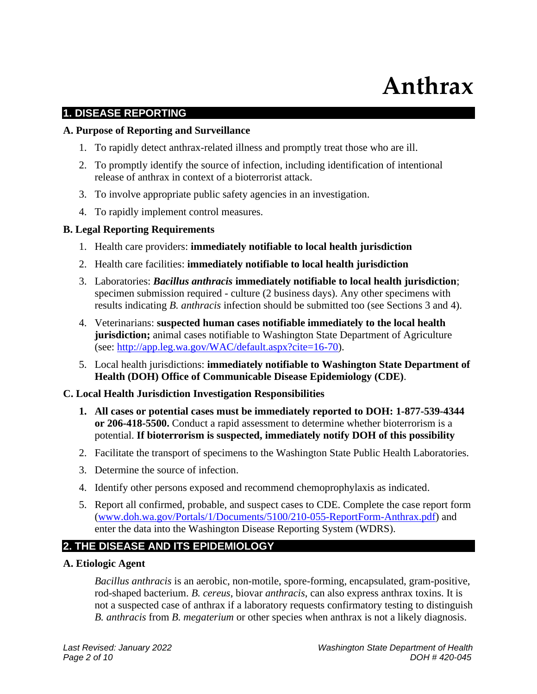# **Anthrax**

#### **1. DISEASE REPORTING**

#### **A. Purpose of Reporting and Surveillance**

- 1. To rapidly detect anthrax-related illness and promptly treat those who are ill.
- 2. To promptly identify the source of infection, including identification of intentional release of anthrax in context of a bioterrorist attack.
- 3. To involve appropriate public safety agencies in an investigation.
- 4. To rapidly implement control measures.

#### **B. Legal Reporting Requirements**

- 1. Health care providers: **immediately notifiable to local health jurisdiction**
- 2. Health care facilities: **immediately notifiable to local health jurisdiction**
- 3. Laboratories: *Bacillus anthracis* **immediately notifiable to local health jurisdiction**; specimen submission required - culture (2 business days). Any other specimens with results indicating *B. anthracis* infection should be submitted too (see Sections 3 and 4).
- 4. Veterinarians: **suspected human cases notifiable immediately to the local health jurisdiction;** animal cases notifiable to Washington State Department of Agriculture (see: [http://app.leg.wa.gov/WAC/default.aspx?cite=16-70\)](http://app.leg.wa.gov/WAC/default.aspx?cite=16-70).
- 5. Local health jurisdictions: **immediately notifiable to Washington State Department of Health (DOH) Office of Communicable Disease Epidemiology (CDE)**.

#### **C. Local Health Jurisdiction Investigation Responsibilities**

- **1. All cases or potential cases must be immediately reported to DOH: 1-877-539-4344 or 206-418-5500.** Conduct a rapid assessment to determine whether bioterrorism is a potential. **If bioterrorism is suspected, immediately notify DOH of this possibility**
- 2. Facilitate the transport of specimens to the Washington State Public Health Laboratories.
- 3. Determine the source of infection.
- 4. Identify other persons exposed and recommend chemoprophylaxis as indicated.
- 5. Report all confirmed, probable, and suspect cases to CDE. Complete the case report form [\(www.doh.wa.gov/Portals/1/Documents/5100/210-055-ReportForm-Anthrax.pdf\)](http://www.doh.wa.gov/Portals/1/Documents/5100/210-055-ReportForm-Anthrax.pdf) and enter the data into the Washington Disease Reporting System (WDRS).

### **2. THE DISEASE AND ITS EPIDEMIOLOGY**

#### **A. Etiologic Agent**

*Bacillus anthracis* is an aerobic, non-motile, spore-forming, encapsulated, gram-positive, rod-shaped bacterium. *B. cereus*, biovar *anthracis*, can also express anthrax toxins. It is not a suspected case of anthrax if a laboratory requests confirmatory testing to distinguish *B. anthracis* from *B. megaterium* or other species when anthrax is not a likely diagnosis.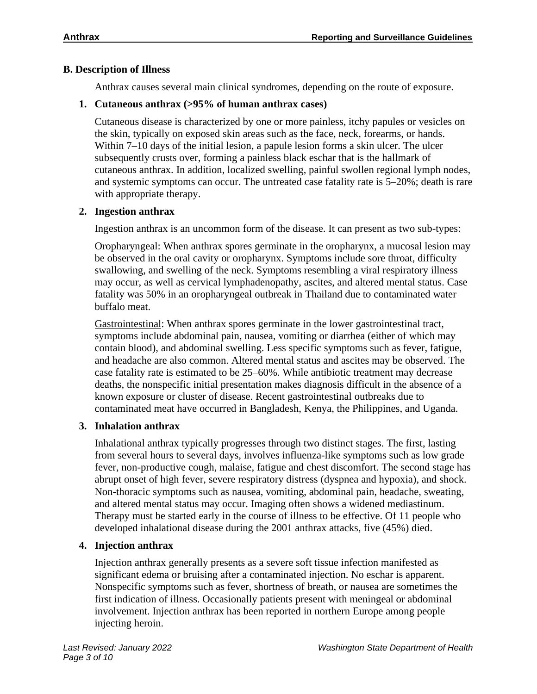#### **B. Description of Illness**

Anthrax causes several main clinical syndromes, depending on the route of exposure.

#### **1. Cutaneous anthrax (>95% of human anthrax cases)**

Cutaneous disease is characterized by one or more painless, itchy papules or vesicles on the skin, typically on exposed skin areas such as the face, neck, forearms, or hands. Within 7–10 days of the initial lesion, a papule lesion forms a skin ulcer. The ulcer subsequently crusts over, forming a painless black eschar that is the hallmark of cutaneous anthrax. In addition, localized swelling, painful swollen regional lymph nodes, and systemic symptoms can occur. The untreated case fatality rate is 5–20%; death is rare with appropriate therapy.

#### **2. Ingestion anthrax**

Ingestion anthrax is an uncommon form of the disease. It can present as two sub-types:

Oropharyngeal: When anthrax spores germinate in the oropharynx, a mucosal lesion may be observed in the oral cavity or oropharynx. Symptoms include sore throat, difficulty swallowing, and swelling of the neck. Symptoms resembling a viral respiratory illness may occur, as well as cervical lymphadenopathy, ascites, and altered mental status. Case fatality was 50% in an oropharyngeal outbreak in Thailand due to contaminated water buffalo meat.

Gastrointestinal: When anthrax spores germinate in the lower gastrointestinal tract, symptoms include abdominal pain, nausea, vomiting or diarrhea (either of which may contain blood), and abdominal swelling. Less specific symptoms such as fever, fatigue, and headache are also common. Altered mental status and ascites may be observed. The case fatality rate is estimated to be 25–60%. While antibiotic treatment may decrease deaths, the nonspecific initial presentation makes diagnosis difficult in the absence of a known exposure or cluster of disease. Recent gastrointestinal outbreaks due to contaminated meat have occurred in Bangladesh, Kenya, the Philippines, and Uganda.

### **3. Inhalation anthrax**

Inhalational anthrax typically progresses through two distinct stages. The first, lasting from several hours to several days, involves influenza-like symptoms such as low grade fever, non-productive cough, malaise, fatigue and chest discomfort. The second stage has abrupt onset of high fever, severe respiratory distress (dyspnea and hypoxia), and shock. Non-thoracic symptoms such as nausea, vomiting, abdominal pain, headache, sweating, and altered mental status may occur. Imaging often shows a widened mediastinum. Therapy must be started early in the course of illness to be effective. Of 11 people who developed inhalational disease during the 2001 anthrax attacks, five (45%) died.

### **4. Injection anthrax**

Injection anthrax generally presents as a severe soft tissue infection manifested as significant edema or bruising after a contaminated injection. No eschar is apparent. Nonspecific symptoms such as fever, shortness of breath, or nausea are sometimes the first indication of illness. Occasionally patients present with meningeal or abdominal involvement. Injection anthrax has been reported in northern Europe among people injecting heroin.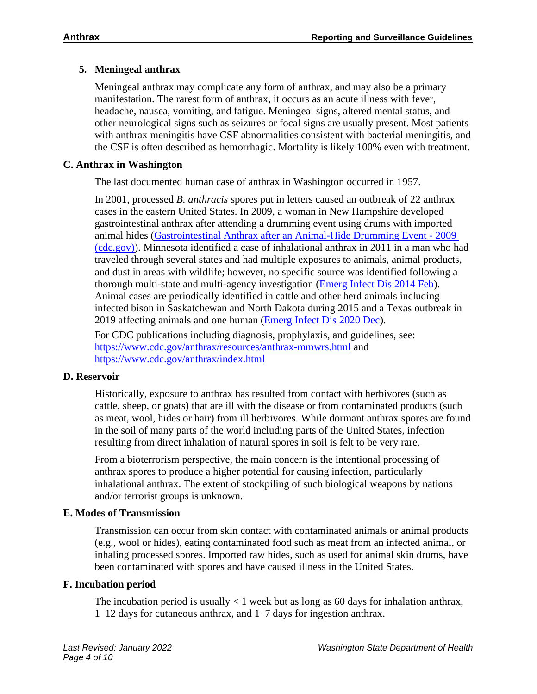### **5. Meningeal anthrax**

Meningeal anthrax may complicate any form of anthrax, and may also be a primary manifestation. The rarest form of anthrax, it occurs as an acute illness with fever, headache, nausea, vomiting, and fatigue. Meningeal signs, altered mental status, and other neurological signs such as seizures or focal signs are usually present. Most patients with anthrax meningitis have CSF abnormalities consistent with bacterial meningitis, and the CSF is often described as hemorrhagic. Mortality is likely 100% even with treatment.

### **C. Anthrax in Washington**

The last documented human case of anthrax in Washington occurred in 1957.

In 2001, processed *B. anthracis* spores put in letters caused an outbreak of 22 anthrax cases in the eastern United States. In 2009, a woman in New Hampshire developed gastrointestinal anthrax after attending a drumming event using drums with imported animal hides [\(Gastrointestinal Anthrax after an Animal-Hide Drumming Event -](https://www.cdc.gov/mmwr/preview/mmwrhtml/mm5928a3.htm) 2009 [\(cdc.gov\)\)](https://www.cdc.gov/mmwr/preview/mmwrhtml/mm5928a3.htm). Minnesota identified a case of inhalational anthrax in 2011 in a man who had traveled through several states and had multiple exposures to animals, animal products, and dust in areas with wildlife; however, no specific source was identified following a thorough multi-state and multi-agency investigation [\(Emerg Infect Dis 2014 Feb\)](https://www.ncbi.nlm.nih.gov/pmc/articles/PMC3901464/). Animal cases are periodically identified in cattle and other herd animals including infected bison in Saskatchewan and North Dakota during 2015 and a Texas outbreak in 2019 affecting animals and one human [\(Emerg Infect Dis 2020 Dec\)](https://wwwnc.cdc.gov/eid/article/26/12/20-0470_article).

For CDC publications including diagnosis, prophylaxis, and guidelines, see: <https://www.cdc.gov/anthrax/resources/anthrax-mmwrs.html> and <https://www.cdc.gov/anthrax/index.html>

#### **D. Reservoir**

Historically, exposure to anthrax has resulted from contact with herbivores (such as cattle, sheep, or goats) that are ill with the disease or from contaminated products (such as meat, wool, hides or hair) from ill herbivores. While dormant anthrax spores are found in the soil of many parts of the world including parts of the United States, infection resulting from direct inhalation of natural spores in soil is felt to be very rare.

From a bioterrorism perspective, the main concern is the intentional processing of anthrax spores to produce a higher potential for causing infection, particularly inhalational anthrax. The extent of stockpiling of such biological weapons by nations and/or terrorist groups is unknown.

### **E. Modes of Transmission**

Transmission can occur from skin contact with contaminated animals or animal products (e.g., wool or hides), eating contaminated food such as meat from an infected animal, or inhaling processed spores. Imported raw hides, such as used for animal skin drums, have been contaminated with spores and have caused illness in the United States.

#### **F. Incubation period**

The incubation period is usually  $< 1$  week but as long as 60 days for inhalation anthrax, 1–12 days for cutaneous anthrax, and 1–7 days for ingestion anthrax.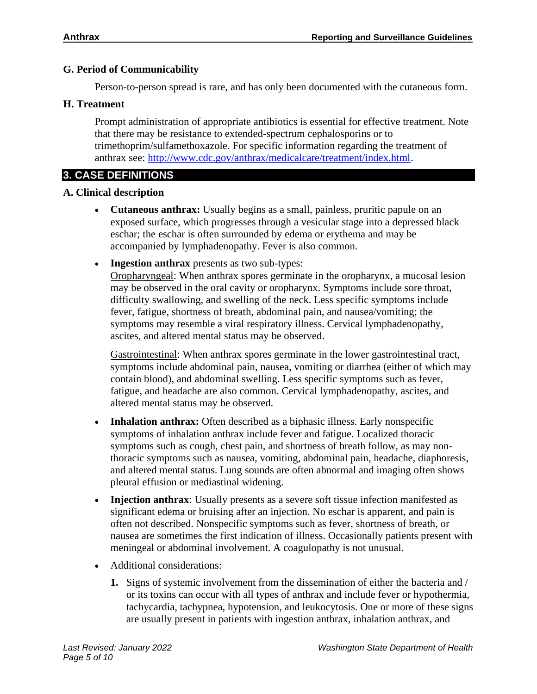#### **G. Period of Communicability**

Person-to-person spread is rare, and has only been documented with the cutaneous form.

#### **H. Treatment**

Prompt administration of appropriate antibiotics is essential for effective treatment. Note that there may be resistance to extended-spectrum cephalosporins or to trimethoprim/sulfamethoxazole. For specific information regarding the treatment of anthrax see: [http://www.cdc.gov/anthrax/medicalcare/treatment/index.html.](http://www.cdc.gov/anthrax/medicalcare/treatment/index.html)

# **3. CASE DEFINITIONS**

#### **A. Clinical description**

- **Cutaneous anthrax:** Usually begins as a small, painless, pruritic papule on an exposed surface, which progresses through a vesicular stage into a depressed black eschar; the eschar is often surrounded by edema or erythema and may be accompanied by lymphadenopathy. Fever is also common.
- **Ingestion anthrax** presents as two sub-types:

Oropharyngeal: When anthrax spores germinate in the oropharynx, a mucosal lesion may be observed in the oral cavity or oropharynx. Symptoms include sore throat, difficulty swallowing, and swelling of the neck. Less specific symptoms include fever, fatigue, shortness of breath, abdominal pain, and nausea/vomiting; the symptoms may resemble a viral respiratory illness. Cervical lymphadenopathy, ascites, and altered mental status may be observed.

Gastrointestinal: When anthrax spores germinate in the lower gastrointestinal tract, symptoms include abdominal pain, nausea, vomiting or diarrhea (either of which may contain blood), and abdominal swelling. Less specific symptoms such as fever, fatigue, and headache are also common. Cervical lymphadenopathy, ascites, and altered mental status may be observed.

- **Inhalation anthrax:** Often described as a biphasic illness. Early nonspecific symptoms of inhalation anthrax include fever and fatigue. Localized thoracic symptoms such as cough, chest pain, and shortness of breath follow, as may nonthoracic symptoms such as nausea, vomiting, abdominal pain, headache, diaphoresis, and altered mental status. Lung sounds are often abnormal and imaging often shows pleural effusion or mediastinal widening.
- **Injection anthrax**: Usually presents as a severe soft tissue infection manifested as significant edema or bruising after an injection. No eschar is apparent, and pain is often not described. Nonspecific symptoms such as fever, shortness of breath, or nausea are sometimes the first indication of illness. Occasionally patients present with meningeal or abdominal involvement. A coagulopathy is not unusual.
- Additional considerations:
	- **1.** Signs of systemic involvement from the dissemination of either the bacteria and / or its toxins can occur with all types of anthrax and include fever or hypothermia, tachycardia, tachypnea, hypotension, and leukocytosis. One or more of these signs are usually present in patients with ingestion anthrax, inhalation anthrax, and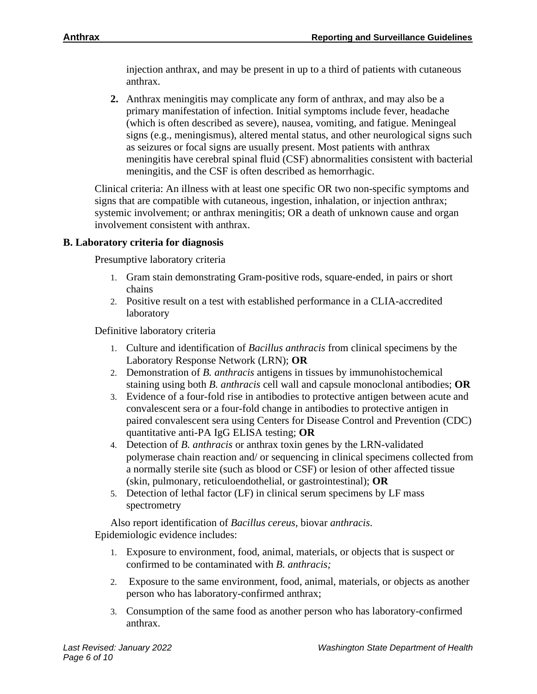injection anthrax, and may be present in up to a third of patients with cutaneous anthrax.

**2.** Anthrax meningitis may complicate any form of anthrax, and may also be a primary manifestation of infection. Initial symptoms include fever, headache (which is often described as severe), nausea, vomiting, and fatigue. Meningeal signs (e.g., meningismus), altered mental status, and other neurological signs such as seizures or focal signs are usually present. Most patients with anthrax meningitis have cerebral spinal fluid (CSF) abnormalities consistent with bacterial meningitis, and the CSF is often described as hemorrhagic.

Clinical criteria: An illness with at least one specific OR two non-specific symptoms and signs that are compatible with cutaneous, ingestion, inhalation, or injection anthrax; systemic involvement; or anthrax meningitis; OR a death of unknown cause and organ involvement consistent with anthrax.

#### **B. Laboratory criteria for diagnosis**

Presumptive laboratory criteria

- 1. Gram stain demonstrating Gram-positive rods, square-ended, in pairs or short chains
- 2. Positive result on a test with established performance in a CLIA-accredited laboratory

Definitive laboratory criteria

- 1. Culture and identification of *Bacillus anthracis* from clinical specimens by the Laboratory Response Network (LRN); **OR**
- 2. Demonstration of *B. anthracis* antigens in tissues by immunohistochemical staining using both *B. anthracis* cell wall and capsule monoclonal antibodies; **OR**
- 3. Evidence of a four-fold rise in antibodies to protective antigen between acute and convalescent sera or a four-fold change in antibodies to protective antigen in paired convalescent sera using Centers for Disease Control and Prevention (CDC) quantitative anti-PA IgG ELISA testing; **OR**
- 4. Detection of *B. anthracis* or anthrax toxin genes by the LRN-validated polymerase chain reaction and/ or sequencing in clinical specimens collected from a normally sterile site (such as blood or CSF) or lesion of other affected tissue (skin, pulmonary, reticuloendothelial, or gastrointestinal); **OR**
- 5. Detection of lethal factor (LF) in clinical serum specimens by LF mass spectrometry

Also report identification of *Bacillus cereus*, biovar *anthracis*. Epidemiologic evidence includes:

- 1. Exposure to environment, food, animal, materials, or objects that is suspect or confirmed to be contaminated with *B. anthracis;*
- 2. Exposure to the same environment, food, animal, materials, or objects as another person who has laboratory-confirmed anthrax;
- 3. Consumption of the same food as another person who has laboratory-confirmed anthrax.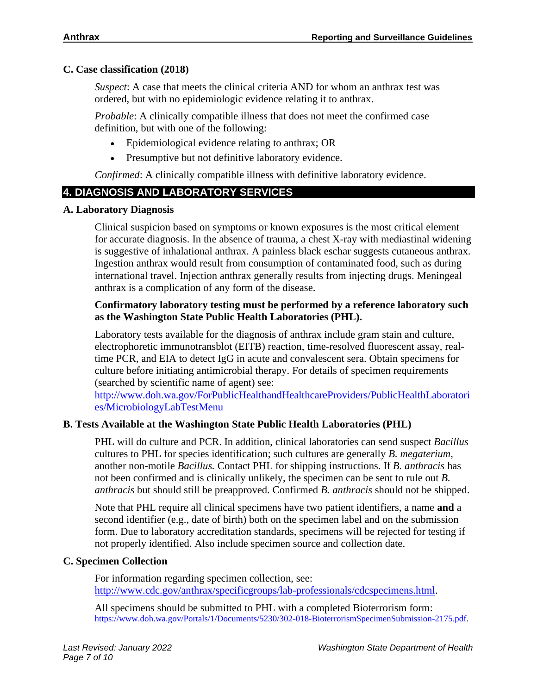#### **C. Case classification (2018)**

*Suspect*: A case that meets the clinical criteria AND for whom an anthrax test was ordered, but with no epidemiologic evidence relating it to anthrax.

*Probable*: A clinically compatible illness that does not meet the confirmed case definition, but with one of the following:

- Epidemiological evidence relating to anthrax; OR
- Presumptive but not definitive laboratory evidence.

*Confirmed*: A clinically compatible illness with definitive laboratory evidence.

## **4. DIAGNOSIS AND LABORATORY SERVICES**

#### **A. Laboratory Diagnosis**

Clinical suspicion based on symptoms or known exposures is the most critical element for accurate diagnosis. In the absence of trauma, a chest X-ray with mediastinal widening is suggestive of inhalational anthrax. A painless black eschar suggests cutaneous anthrax. Ingestion anthrax would result from consumption of contaminated food, such as during international travel. Injection anthrax generally results from injecting drugs. Meningeal anthrax is a complication of any form of the disease.

#### **Confirmatory laboratory testing must be performed by a reference laboratory such as the Washington State Public Health Laboratories (PHL).**

Laboratory tests available for the diagnosis of anthrax include gram stain and culture, electrophoretic immunotransblot (EITB) reaction, time-resolved fluorescent assay, realtime PCR, and EIA to detect IgG in acute and convalescent sera. Obtain specimens for culture before initiating antimicrobial therapy. For details of specimen requirements (searched by scientific name of agent) see:

[http://www.doh.wa.gov/ForPublicHealthandHealthcareProviders/PublicHealthLaboratori](http://www.doh.wa.gov/ForPublicHealthandHealthcareProviders/PublicHealthLaboratories/MicrobiologyLabTestMenu) [es/MicrobiologyLabTestMenu](http://www.doh.wa.gov/ForPublicHealthandHealthcareProviders/PublicHealthLaboratories/MicrobiologyLabTestMenu)

### **B. Tests Available at the Washington State Public Health Laboratories (PHL)**

PHL will do culture and PCR. In addition, clinical laboratories can send suspect *Bacillus*  cultures to PHL for species identification; such cultures are generally *B. megaterium*, another non-motile *Bacillus.* Contact PHL for shipping instructions. If *B. anthracis* has not been confirmed and is clinically unlikely, the specimen can be sent to rule out *B. anthracis* but should still be preapproved. Confirmed *B. anthracis* should not be shipped.

Note that PHL require all clinical specimens have two patient identifiers, a name **and** a second identifier (e.g., date of birth) both on the specimen label and on the submission form. Due to laboratory accreditation standards, specimens will be rejected for testing if not properly identified. Also include specimen source and collection date.

#### **C. Specimen Collection**

For information regarding specimen collection, see: [http://www.cdc.gov/anthrax/specificgroups/lab-professionals/cdcspecimens.html.](http://www.cdc.gov/anthrax/specificgroups/lab-professionals/cdcspecimens.html)

All specimens should be submitted to PHL with a completed Bioterrorism form: [https://www.doh.wa.gov/Portals/1/Documents/5230/302-018-BioterrorismSpecimenSubmission-2175.pdf.](https://www.doh.wa.gov/Portals/1/Documents/5230/302-018-BioterrorismSpecimenSubmission-2175.pdf)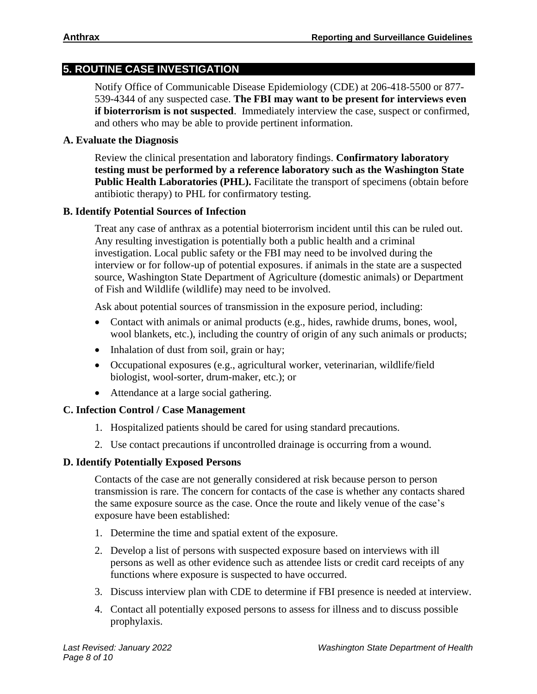### **5. ROUTINE CASE INVESTIGATION**

Notify Office of Communicable Disease Epidemiology (CDE) at 206-418-5500 or 877- 539-4344 of any suspected case. **The FBI may want to be present for interviews even if bioterrorism is not suspected**. Immediately interview the case, suspect or confirmed, and others who may be able to provide pertinent information.

#### **A. Evaluate the Diagnosis**

Review the clinical presentation and laboratory findings. **Confirmatory laboratory testing must be performed by a reference laboratory such as the Washington State**  Public Health Laboratories (PHL). Facilitate the transport of specimens (obtain before antibiotic therapy) to PHL for confirmatory testing.

#### **B. Identify Potential Sources of Infection**

Treat any case of anthrax as a potential bioterrorism incident until this can be ruled out. Any resulting investigation is potentially both a public health and a criminal investigation. Local public safety or the FBI may need to be involved during the interview or for follow-up of potential exposures. if animals in the state are a suspected source, Washington State Department of Agriculture (domestic animals) or Department of Fish and Wildlife (wildlife) may need to be involved.

Ask about potential sources of transmission in the exposure period, including:

- Contact with animals or animal products (e.g., hides, rawhide drums, bones, wool, wool blankets, etc.), including the country of origin of any such animals or products;
- Inhalation of dust from soil, grain or hay;
- Occupational exposures (e.g., agricultural worker, veterinarian, wildlife/field biologist, wool-sorter, drum-maker, etc.); or
- Attendance at a large social gathering.

#### **C. Infection Control / Case Management**

- 1. Hospitalized patients should be cared for using standard precautions.
- 2. Use contact precautions if uncontrolled drainage is occurring from a wound.

#### **D. Identify Potentially Exposed Persons**

Contacts of the case are not generally considered at risk because person to person transmission is rare. The concern for contacts of the case is whether any contacts shared the same exposure source as the case. Once the route and likely venue of the case's exposure have been established:

- 1. Determine the time and spatial extent of the exposure.
- 2. Develop a list of persons with suspected exposure based on interviews with ill persons as well as other evidence such as attendee lists or credit card receipts of any functions where exposure is suspected to have occurred.
- 3. Discuss interview plan with CDE to determine if FBI presence is needed at interview.
- 4. Contact all potentially exposed persons to assess for illness and to discuss possible prophylaxis.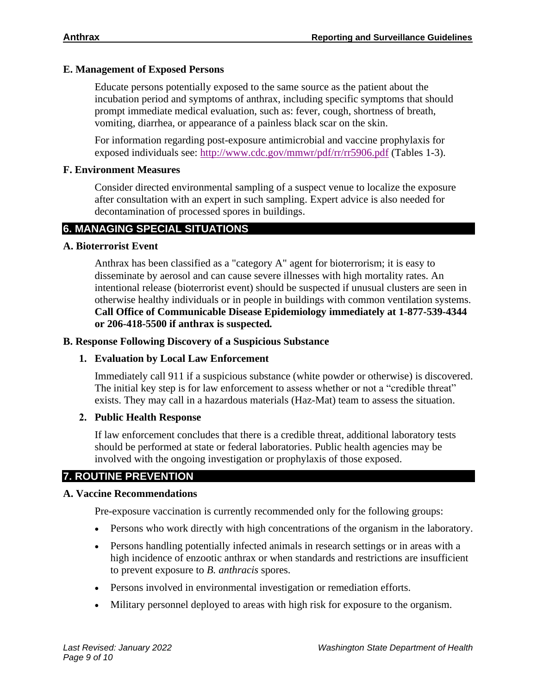#### **E. Management of Exposed Persons**

Educate persons potentially exposed to the same source as the patient about the incubation period and symptoms of anthrax, including specific symptoms that should prompt immediate medical evaluation, such as: fever, cough, shortness of breath, vomiting, diarrhea, or appearance of a painless black scar on the skin.

For information regarding post-exposure antimicrobial and vaccine prophylaxis for exposed individuals see:<http://www.cdc.gov/mmwr/pdf/rr/rr5906.pdf> (Tables 1-3).

#### **F. Environment Measures**

Consider directed environmental sampling of a suspect venue to localize the exposure after consultation with an expert in such sampling. Expert advice is also needed for decontamination of processed spores in buildings.

# **6. MANAGING SPECIAL SITUATIONS**

#### **A. Bioterrorist Event**

Anthrax has been classified as a "category A" agent for bioterrorism; it is easy to disseminate by aerosol and can cause severe illnesses with high mortality rates. An intentional release (bioterrorist event) should be suspected if unusual clusters are seen in otherwise healthy individuals or in people in buildings with common ventilation systems. **Call Office of Communicable Disease Epidemiology immediately at 1-877-539-4344 or 206-418-5500 if anthrax is suspected***.*

#### **B. Response Following Discovery of a Suspicious Substance**

#### **1. Evaluation by Local Law Enforcement**

Immediately call 911 if a suspicious substance (white powder or otherwise) is discovered. The initial key step is for law enforcement to assess whether or not a "credible threat" exists. They may call in a hazardous materials (Haz-Mat) team to assess the situation.

#### **2. Public Health Response**

If law enforcement concludes that there is a credible threat, additional laboratory tests should be performed at state or federal laboratories. Public health agencies may be involved with the ongoing investigation or prophylaxis of those exposed.

# **7. ROUTINE PREVENTION**

#### **A. Vaccine Recommendations**

Pre-exposure vaccination is currently recommended only for the following groups:

- Persons who work directly with high concentrations of the organism in the laboratory.
- Persons handling potentially infected animals in research settings or in areas with a high incidence of enzootic anthrax or when standards and restrictions are insufficient to prevent exposure to *B. anthracis* spores.
- Persons involved in environmental investigation or remediation efforts.
- Military personnel deployed to areas with high risk for exposure to the organism.